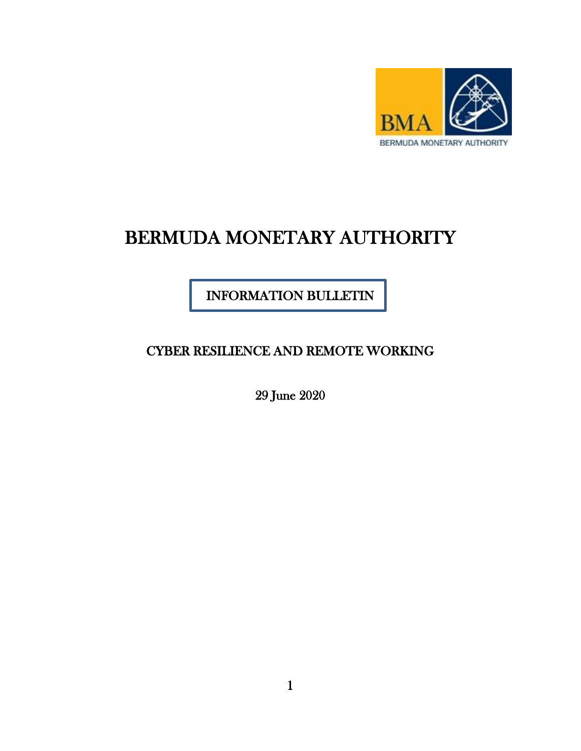

# BERMUDA MONETARY AUTHORITY

INFORMATION BULLETIN

CYBER RESILIENCE AND REMOTE WORKING

29 June 2020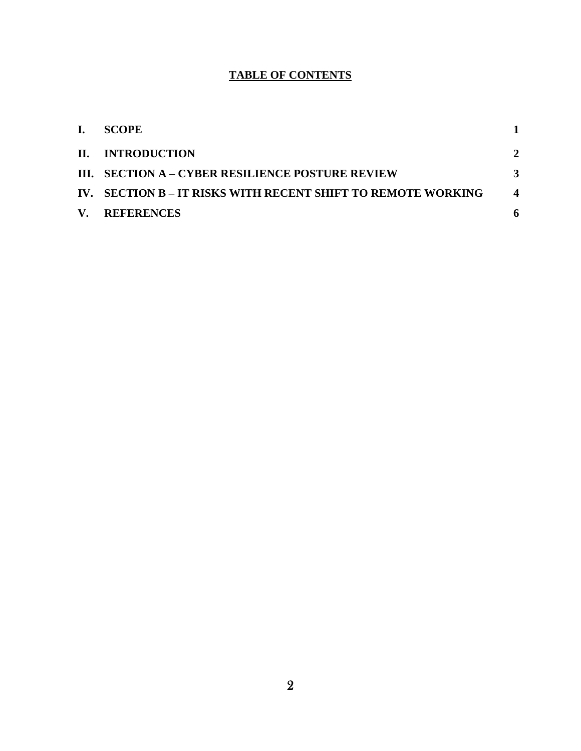## **TABLE OF CONTENTS**

| L. | <b>SCOPE</b>                                                 |                        |
|----|--------------------------------------------------------------|------------------------|
|    | II. INTRODUCTION                                             | $\mathbf{2}$           |
|    | III. SECTION A – CYBER RESILIENCE POSTURE REVIEW             |                        |
|    | IV. SECTION B – IT RISKS WITH RECENT SHIFT TO REMOTE WORKING | $\boldsymbol{\Lambda}$ |
|    | V. REFERENCES                                                |                        |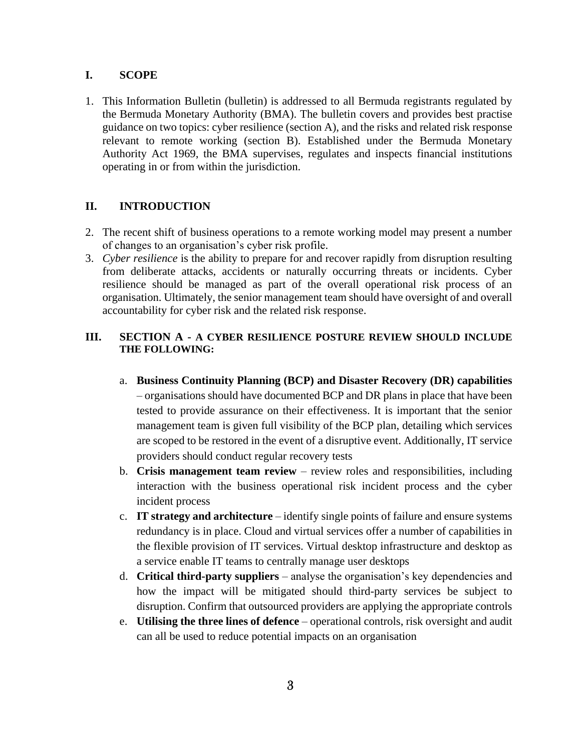#### **I. SCOPE**

1. This Information Bulletin (bulletin) is addressed to all Bermuda registrants regulated by the Bermuda Monetary Authority (BMA). The bulletin covers and provides best practise guidance on two topics: cyber resilience (section A), and the risks and related risk response relevant to remote working (section B). Established under the Bermuda Monetary Authority Act 1969, the BMA supervises, regulates and inspects financial institutions operating in or from within the jurisdiction.

### **II. INTRODUCTION**

- 2. The recent shift of business operations to a remote working model may present a number of changes to an organisation's cyber risk profile.
- 3. *Cyber resilience* is the ability to prepare for and recover rapidly from disruption resulting from deliberate attacks, accidents or naturally occurring threats or incidents. Cyber resilience should be managed as part of the overall operational risk process of an organisation. Ultimately, the senior management team should have oversight of and overall accountability for cyber risk and the related risk response.

#### **III. SECTION A - A CYBER RESILIENCE POSTURE REVIEW SHOULD INCLUDE THE FOLLOWING:**

- a. **Business Continuity Planning (BCP) and Disaster Recovery (DR) capabilities** – organisations should have documented BCP and DR plans in place that have been tested to provide assurance on their effectiveness. It is important that the senior management team is given full visibility of the BCP plan, detailing which services are scoped to be restored in the event of a disruptive event. Additionally, IT service providers should conduct regular recovery tests
- b. **Crisis management team review** review roles and responsibilities, including interaction with the business operational risk incident process and the cyber incident process
- c. **IT strategy and architecture** identify single points of failure and ensure systems redundancy is in place. Cloud and virtual services offer a number of capabilities in the flexible provision of IT services. Virtual desktop infrastructure and desktop as a service enable IT teams to centrally manage user desktops
- d. **Critical third-party suppliers** analyse the organisation's key dependencies and how the impact will be mitigated should third-party services be subject to disruption. Confirm that outsourced providers are applying the appropriate controls
- e. **Utilising the three lines of defence** operational controls, risk oversight and audit can all be used to reduce potential impacts on an organisation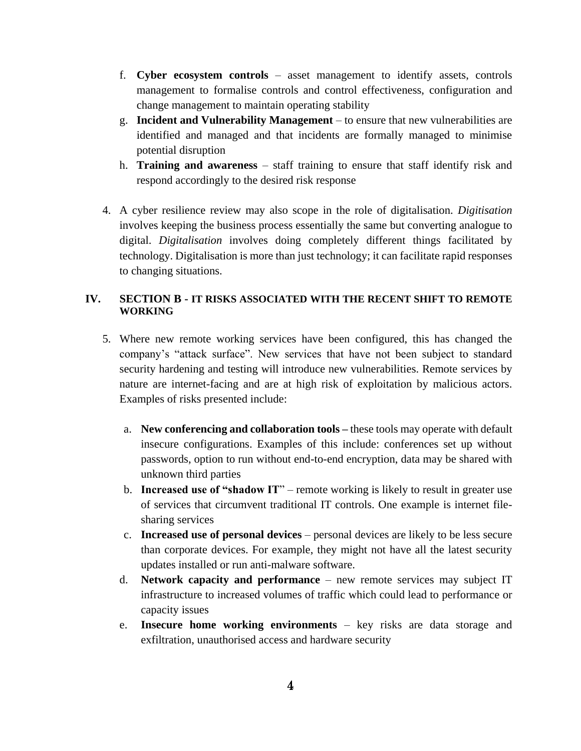- f. **Cyber ecosystem controls** asset management to identify assets, controls management to formalise controls and control effectiveness, configuration and change management to maintain operating stability
- g. **Incident and Vulnerability Management** to ensure that new vulnerabilities are identified and managed and that incidents are formally managed to minimise potential disruption
- h. **Training and awareness** staff training to ensure that staff identify risk and respond accordingly to the desired risk response
- 4. A cyber resilience review may also scope in the role of digitalisation. *Digitisation*  involves keeping the business process essentially the same but converting analogue to digital. *Digitalisation* involves doing completely different things facilitated by technology. Digitalisation is more than just technology; it can facilitate rapid responses to changing situations.

#### **IV. SECTION B - IT RISKS ASSOCIATED WITH THE RECENT SHIFT TO REMOTE WORKING**

- 5. Where new remote working services have been configured, this has changed the company's "attack surface". New services that have not been subject to standard security hardening and testing will introduce new vulnerabilities. Remote services by nature are internet-facing and are at high risk of exploitation by malicious actors. Examples of risks presented include:
	- a. **New conferencing and collaboration tools –** these tools may operate with default insecure configurations. Examples of this include: conferences set up without passwords, option to run without end-to-end encryption, data may be shared with unknown third parties
	- b. **Increased use of "shadow IT**" remote working is likely to result in greater use of services that circumvent traditional IT controls. One example is internet filesharing services
	- c. **Increased use of personal devices**  personal devices are likely to be less secure than corporate devices. For example, they might not have all the latest security updates installed or run anti-malware software.
	- d. **Network capacity and performance** new remote services may subject IT infrastructure to increased volumes of traffic which could lead to performance or capacity issues
	- e. **Insecure home working environments** key risks are data storage and exfiltration, unauthorised access and hardware security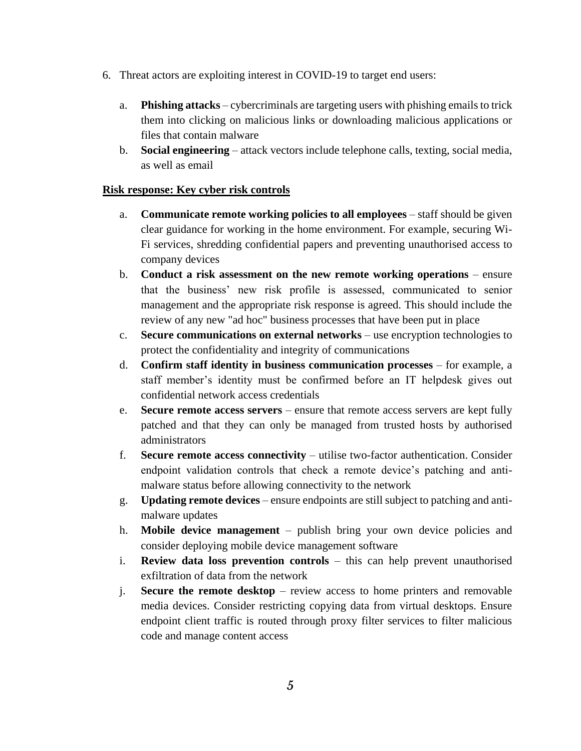- 6. Threat actors are exploiting interest in COVID-19 to target end users:
	- a. **Phishing attacks**  cybercriminals are targeting users with phishing emails to trick them into clicking on malicious links or downloading malicious applications or files that contain malware
	- b. **Social engineering** attack vectors include telephone calls, texting, social media, as well as email

#### **Risk response: Key cyber risk controls**

- a. **Communicate remote working policies to all employees**  staff should be given clear guidance for working in the home environment. For example, securing Wi-Fi services, shredding confidential papers and preventing unauthorised access to company devices
- b. **Conduct a risk assessment on the new remote working operations** ensure that the business' new risk profile is assessed, communicated to senior management and the appropriate risk response is agreed. This should include the review of any new "ad hoc" business processes that have been put in place
- c. **Secure communications on external networks** use encryption technologies to protect the confidentiality and integrity of communications
- d. **Confirm staff identity in business communication processes** for example, a staff member's identity must be confirmed before an IT helpdesk gives out confidential network access credentials
- e. **Secure remote access servers** ensure that remote access servers are kept fully patched and that they can only be managed from trusted hosts by authorised administrators
- f. **Secure remote access connectivity** utilise two-factor authentication. Consider endpoint validation controls that check a remote device's patching and antimalware status before allowing connectivity to the network
- g. **Updating remote devices** ensure endpoints are still subject to patching and antimalware updates
- h. **Mobile device management** publish bring your own device policies and consider deploying mobile device management software
- i. **Review data loss prevention controls** this can help prevent unauthorised exfiltration of data from the network
- j. **Secure the remote desktop** review access to home printers and removable media devices. Consider restricting copying data from virtual desktops. Ensure endpoint client traffic is routed through proxy filter services to filter malicious code and manage content access